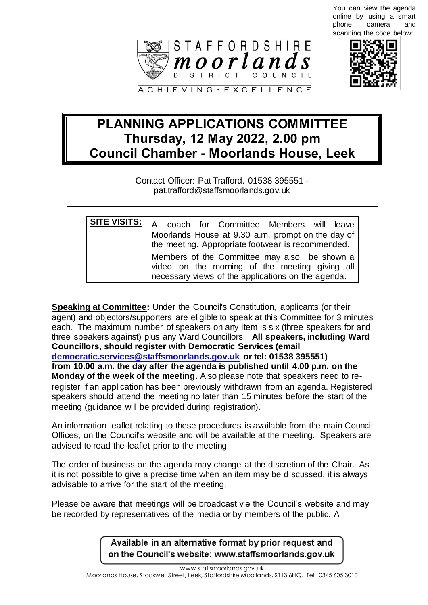You can view the agenda online by using a smart phone camera and scanning the code below:





## **PLANNING APPLICATIONS COMMITTEE Thursday, 12 May 2022, 2.00 pm Council Chamber - Moorlands House, Leek**

Contact Officer: Pat Trafford. 01538 395551 pat.trafford@staffsmoorlands.gov.uk

| <b>SITE VISITS:</b> A coach for Committee Members will leave                                                                                         |
|------------------------------------------------------------------------------------------------------------------------------------------------------|
| Moorlands House at 9.30 a.m. prompt on the day of<br>the meeting. Appropriate footwear is recommended.                                               |
| Members of the Committee may also be shown a<br>video on the morning of the meeting giving all<br>necessary views of the applications on the agenda. |

**Speaking at Committee:** Under the Council's Constitution, applicants (or their agent) and objectors/supporters are eligible to speak at this Committee for 3 minutes each. The maximum number of speakers on any item is six (three speakers for and three speakers against) plus any Ward Councillors. **All speakers, including Ward Councillors, should register with Democratic Services (email [democratic.services@staffsmoorlands.gov.uk](mailto:democratic.services@staffsmoorlands.gov.uk) or tel: 01538 395551) from 10.00 a.m. the day after the agenda is published until 4.00 p.m. on the Monday of the week of the meeting.** Also please note that speakers need to reregister if an application has been previously withdrawn from an agenda. Registered speakers should attend the meeting no later than 15 minutes before the start of the meeting (guidance will be provided during registration).

An information leaflet relating to these procedures is available from the main Council Offices, on the Council's website and will be available at the meeting. Speakers are advised to read the leaflet prior to the meeting.

The order of business on the agenda may change at the discretion of the Chair. As it is not possible to give a precise time when an item may be discussed, it is always advisable to arrive for the start of the meeting.

Please be aware that meetings will be broadcast vie the Council's website and may be recorded by representatives of the media or by members of the public. A

> Available in an alternative format by prior request and on the Council's website: www.staffsmoorlands.gov.uk

> > www.staffsmoorlands.gov .uk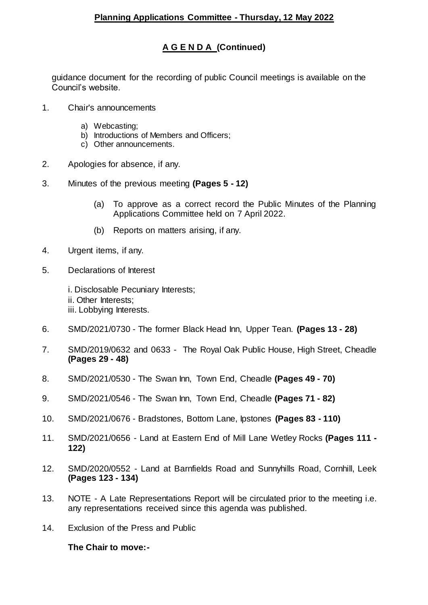## **A G E N D A (Continued)**

guidance document for the recording of public Council meetings is available on the Council's website.

- 1. Chair's announcements
	- a) Webcasting;
	- b) Introductions of Members and Officers;
	- c) Other announcements.
- 2. Apologies for absence, if any.
- 3. Minutes of the previous meeting **(Pages 5 - 12)**
	- (a) To approve as a correct record the Public Minutes of the Planning Applications Committee held on 7 April 2022.
	- (b) Reports on matters arising, if any.
- 4. Urgent items, if any.
- 5. Declarations of Interest
	- i. Disclosable Pecuniary Interests; ii. Other Interests;
	- iii. Lobbying Interests.
- 6. SMD/2021/0730 The former Black Head Inn, Upper Tean. **(Pages 13 - 28)**
- 7. SMD/2019/0632 and 0633 The Royal Oak Public House, High Street, Cheadle **(Pages 29 - 48)**
- 8. SMD/2021/0530 The Swan Inn, Town End, Cheadle **(Pages 49 - 70)**
- 9. SMD/2021/0546 The Swan Inn, Town End, Cheadle **(Pages 71 - 82)**
- 10. SMD/2021/0676 Bradstones, Bottom Lane, Ipstones **(Pages 83 - 110)**
- 11. SMD/2021/0656 Land at Eastern End of Mill Lane Wetley Rocks **(Pages 111 - 122)**
- 12. SMD/2020/0552 Land at Barnfields Road and Sunnyhills Road, Cornhill, Leek **(Pages 123 - 134)**
- 13. NOTE A Late Representations Report will be circulated prior to the meeting i.e. any representations received since this agenda was published.
- 14. Exclusion of the Press and Public

**The Chair to move:-**